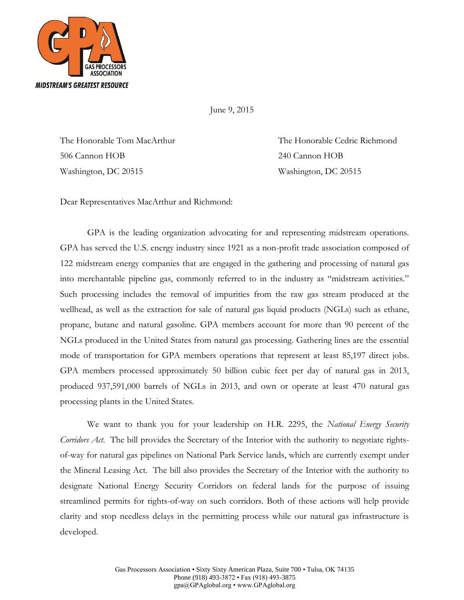

June 9, 2015

506 Cannon HOB 240 Cannon HOB Washington, DC 20515 Washington, DC 20515

The Honorable Tom MacArthur The Honorable Cedric Richmond

Dear Representatives MacArthur and Richmond:

GPA is the leading organization advocating for and representing midstream operations. GPA has served the U.S. energy industry since 1921 as a non-profit trade association composed of 122 midstream energy companies that are engaged in the gathering and processing of natural gas into merchantable pipeline gas, commonly referred to in the industry as "midstream activities." Such processing includes the removal of impurities from the raw gas stream produced at the wellhead, as well as the extraction for sale of natural gas liquid products (NGLs) such as ethane, propane, butane and natural gasoline. GPA members account for more than 90 percent of the NGLs produced in the United States from natural gas processing. Gathering lines are the essential mode of transportation for GPA members operations that represent at least 85,197 direct jobs. GPA members processed approximately 50 billion cubic feet per day of natural gas in 2013, produced 937,591,000 barrels of NGLs in 2013, and own or operate at least 470 natural gas processing plants in the United States.

We want to thank you for your leadership on H.R. 2295, the *National Energy Security Corridors Act*. The bill provides the Secretary of the Interior with the authority to negotiate rightsof-way for natural gas pipelines on National Park Service lands, which are currently exempt under the Mineral Leasing Act. The bill also provides the Secretary of the Interior with the authority to designate National Energy Security Corridors on federal lands for the purpose of issuing streamlined permits for rights-of-way on such corridors. Both of these actions will help provide clarity and stop needless delays in the permitting process while our natural gas infrastructure is developed.